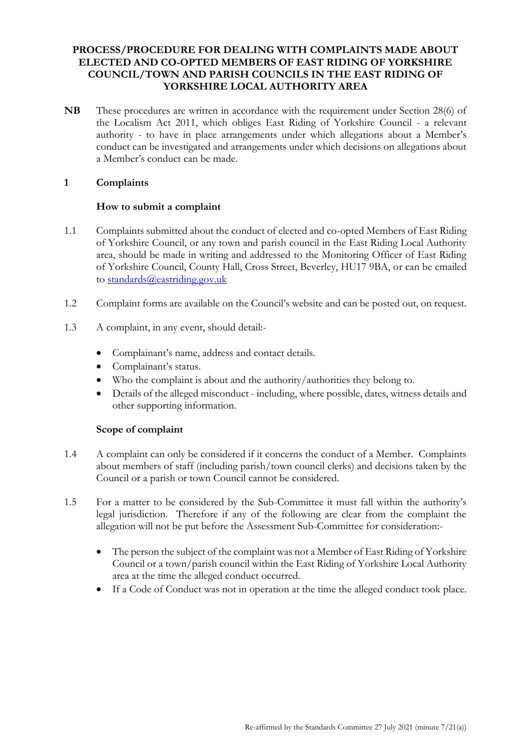## **PROCESS/PROCEDURE FOR DEALING WITH COMPLAINTS MADE ABOUT ELECTED AND CO-OPTED MEMBERS OF EAST RIDING OF YORKSHIRE COUNCIL/TOWN AND PARISH COUNCILS IN THE EAST RIDING OF YORKSHIRE LOCAL AUTHORITY AREA**

**NB** These procedures are written in accordance with the requirement under Section 28(6) of the Localism Act 2011, which obliges East Riding of Yorkshire Council - a relevant authority - to have in place arrangements under which allegations about a Member's conduct can be investigated and arrangements under which decisions on allegations about a Member's conduct can be made.

## **1 Complaints**

## **How to submit a complaint**

- 1.1 Complaints submitted about the conduct of elected and co-opted Members of East Riding of Yorkshire Council, or any town and parish council in the East Riding Local Authority area, should be made in writing and addressed to the Monitoring Officer of East Riding of Yorkshire Council, County Hall, Cross Street, Beverley, HU17 9BA, or can be emailed to [standards@eastriding.gov.uk](mailto:standards@eastriding.gov.uk)
- 1.2 Complaint forms are available on the Council's website and can be posted out, on request.
- 1.3 A complaint, in any event, should detail:-
	- Complainant's name, address and contact details.
	- Complainant's status.
	- Who the complaint is about and the authority/authorities they belong to.
	- Details of the alleged misconduct including, where possible, dates, witness details and other supporting information.

#### **Scope of complaint**

- 1.4 A complaint can only be considered if it concerns the conduct of a Member. Complaints about members of staff (including parish/town council clerks) and decisions taken by the Council or a parish or town Council cannot be considered.
- 1.5 For a matter to be considered by the Sub-Committee it must fall within the authority's legal jurisdiction. Therefore if any of the following are clear from the complaint the allegation will not be put before the Assessment Sub-Committee for consideration:-
	- The person the subject of the complaint was not a Member of East Riding of Yorkshire Council or a town/parish council within the East Riding of Yorkshire Local Authority area at the time the alleged conduct occurred.
	- If a Code of Conduct was not in operation at the time the alleged conduct took place.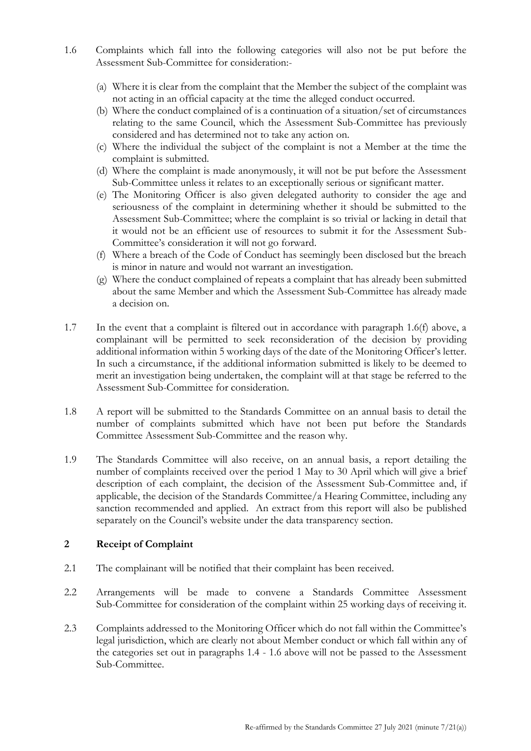- 1.6 Complaints which fall into the following categories will also not be put before the Assessment Sub-Committee for consideration:-
	- (a) Where it is clear from the complaint that the Member the subject of the complaint was not acting in an official capacity at the time the alleged conduct occurred.
	- (b) Where the conduct complained of is a continuation of a situation/set of circumstances relating to the same Council, which the Assessment Sub-Committee has previously considered and has determined not to take any action on.
	- (c) Where the individual the subject of the complaint is not a Member at the time the complaint is submitted.
	- (d) Where the complaint is made anonymously, it will not be put before the Assessment Sub-Committee unless it relates to an exceptionally serious or significant matter.
	- (e) The Monitoring Officer is also given delegated authority to consider the age and seriousness of the complaint in determining whether it should be submitted to the Assessment Sub-Committee; where the complaint is so trivial or lacking in detail that it would not be an efficient use of resources to submit it for the Assessment Sub-Committee's consideration it will not go forward.
	- (f) Where a breach of the Code of Conduct has seemingly been disclosed but the breach is minor in nature and would not warrant an investigation.
	- (g) Where the conduct complained of repeats a complaint that has already been submitted about the same Member and which the Assessment Sub-Committee has already made a decision on.
- 1.7 In the event that a complaint is filtered out in accordance with paragraph 1.6(f) above, a complainant will be permitted to seek reconsideration of the decision by providing additional information within 5 working days of the date of the Monitoring Officer's letter. In such a circumstance, if the additional information submitted is likely to be deemed to merit an investigation being undertaken, the complaint will at that stage be referred to the Assessment Sub-Committee for consideration.
- 1.8 A report will be submitted to the Standards Committee on an annual basis to detail the number of complaints submitted which have not been put before the Standards Committee Assessment Sub-Committee and the reason why.
- 1.9 The Standards Committee will also receive, on an annual basis, a report detailing the number of complaints received over the period 1 May to 30 April which will give a brief description of each complaint, the decision of the Assessment Sub-Committee and, if applicable, the decision of the Standards Committee/a Hearing Committee, including any sanction recommended and applied. An extract from this report will also be published separately on the Council's website under the data transparency section.

#### **2 Receipt of Complaint**

- 2.1 The complainant will be notified that their complaint has been received.
- 2.2 Arrangements will be made to convene a Standards Committee Assessment Sub-Committee for consideration of the complaint within 25 working days of receiving it.
- 2.3 Complaints addressed to the Monitoring Officer which do not fall within the Committee's legal jurisdiction, which are clearly not about Member conduct or which fall within any of the categories set out in paragraphs 1.4 - 1.6 above will not be passed to the Assessment Sub-Committee.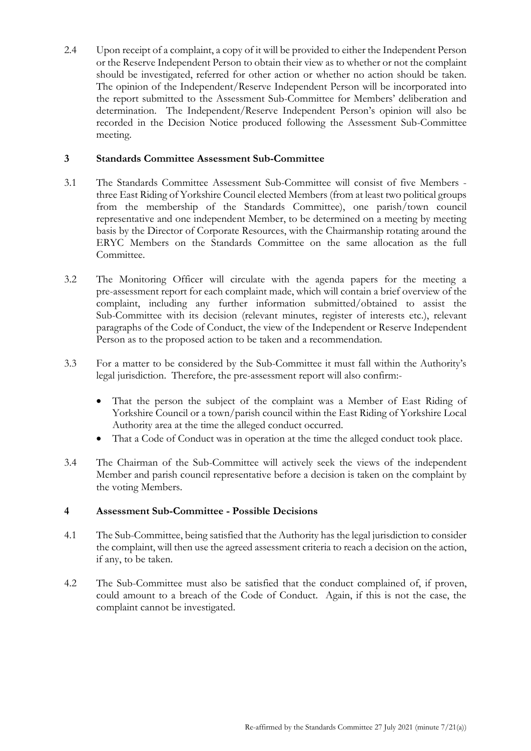2.4 Upon receipt of a complaint, a copy of it will be provided to either the Independent Person or the Reserve Independent Person to obtain their view as to whether or not the complaint should be investigated, referred for other action or whether no action should be taken. The opinion of the Independent/Reserve Independent Person will be incorporated into the report submitted to the Assessment Sub-Committee for Members' deliberation and determination. The Independent/Reserve Independent Person's opinion will also be recorded in the Decision Notice produced following the Assessment Sub-Committee meeting.

#### **3 Standards Committee Assessment Sub-Committee**

- 3.1 The Standards Committee Assessment Sub-Committee will consist of five Members three East Riding of Yorkshire Council elected Members (from at least two political groups from the membership of the Standards Committee), one parish/town council representative and one independent Member, to be determined on a meeting by meeting basis by the Director of Corporate Resources, with the Chairmanship rotating around the ERYC Members on the Standards Committee on the same allocation as the full Committee.
- 3.2 The Monitoring Officer will circulate with the agenda papers for the meeting a pre-assessment report for each complaint made, which will contain a brief overview of the complaint, including any further information submitted/obtained to assist the Sub-Committee with its decision (relevant minutes, register of interests etc.), relevant paragraphs of the Code of Conduct, the view of the Independent or Reserve Independent Person as to the proposed action to be taken and a recommendation.
- 3.3 For a matter to be considered by the Sub-Committee it must fall within the Authority's legal jurisdiction. Therefore, the pre-assessment report will also confirm:-
	- That the person the subject of the complaint was a Member of East Riding of Yorkshire Council or a town/parish council within the East Riding of Yorkshire Local Authority area at the time the alleged conduct occurred.
	- That a Code of Conduct was in operation at the time the alleged conduct took place.
- 3.4 The Chairman of the Sub-Committee will actively seek the views of the independent Member and parish council representative before a decision is taken on the complaint by the voting Members.

# **4 Assessment Sub-Committee - Possible Decisions**

- 4.1 The Sub-Committee, being satisfied that the Authority has the legal jurisdiction to consider the complaint, will then use the agreed assessment criteria to reach a decision on the action, if any, to be taken.
- 4.2 The Sub-Committee must also be satisfied that the conduct complained of, if proven, could amount to a breach of the Code of Conduct. Again, if this is not the case, the complaint cannot be investigated.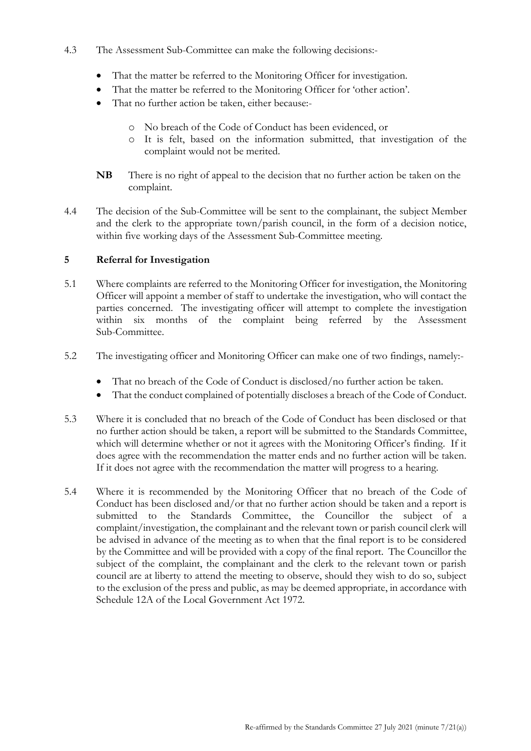## 4.3 The Assessment Sub-Committee can make the following decisions:-

- That the matter be referred to the Monitoring Officer for investigation.
- That the matter be referred to the Monitoring Officer for 'other action'.
- That no further action be taken, either because:
	- o No breach of the Code of Conduct has been evidenced, or
	- o It is felt, based on the information submitted, that investigation of the complaint would not be merited.
- **NB** There is no right of appeal to the decision that no further action be taken on the complaint.
- 4.4 The decision of the Sub-Committee will be sent to the complainant, the subject Member and the clerk to the appropriate town/parish council, in the form of a decision notice, within five working days of the Assessment Sub-Committee meeting.

# **5 Referral for Investigation**

- 5.1 Where complaints are referred to the Monitoring Officer for investigation, the Monitoring Officer will appoint a member of staff to undertake the investigation, who will contact the parties concerned. The investigating officer will attempt to complete the investigation within six months of the complaint being referred by the Assessment Sub-Committee.
- 5.2 The investigating officer and Monitoring Officer can make one of two findings, namely:-
	- That no breach of the Code of Conduct is disclosed/no further action be taken.
	- That the conduct complained of potentially discloses a breach of the Code of Conduct.
- 5.3 Where it is concluded that no breach of the Code of Conduct has been disclosed or that no further action should be taken, a report will be submitted to the Standards Committee, which will determine whether or not it agrees with the Monitoring Officer's finding. If it does agree with the recommendation the matter ends and no further action will be taken. If it does not agree with the recommendation the matter will progress to a hearing.
- 5.4 Where it is recommended by the Monitoring Officer that no breach of the Code of Conduct has been disclosed and/or that no further action should be taken and a report is submitted to the Standards Committee, the Councillor the subject of a complaint/investigation, the complainant and the relevant town or parish council clerk will be advised in advance of the meeting as to when that the final report is to be considered by the Committee and will be provided with a copy of the final report. The Councillor the subject of the complaint, the complainant and the clerk to the relevant town or parish council are at liberty to attend the meeting to observe, should they wish to do so, subject to the exclusion of the press and public, as may be deemed appropriate, in accordance with Schedule 12A of the Local Government Act 1972.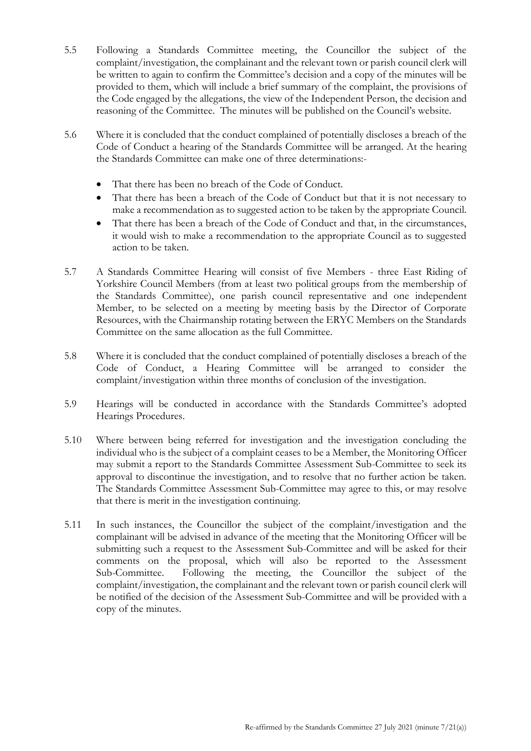- 5.5 Following a Standards Committee meeting, the Councillor the subject of the complaint/investigation, the complainant and the relevant town or parish council clerk will be written to again to confirm the Committee's decision and a copy of the minutes will be provided to them, which will include a brief summary of the complaint, the provisions of the Code engaged by the allegations, the view of the Independent Person, the decision and reasoning of the Committee. The minutes will be published on the Council's website.
- 5.6 Where it is concluded that the conduct complained of potentially discloses a breach of the Code of Conduct a hearing of the Standards Committee will be arranged. At the hearing the Standards Committee can make one of three determinations:-
	- That there has been no breach of the Code of Conduct.
	- That there has been a breach of the Code of Conduct but that it is not necessary to make a recommendation as to suggested action to be taken by the appropriate Council.
	- That there has been a breach of the Code of Conduct and that, in the circumstances, it would wish to make a recommendation to the appropriate Council as to suggested action to be taken.
- 5.7 A Standards Committee Hearing will consist of five Members three East Riding of Yorkshire Council Members (from at least two political groups from the membership of the Standards Committee), one parish council representative and one independent Member, to be selected on a meeting by meeting basis by the Director of Corporate Resources, with the Chairmanship rotating between the ERYC Members on the Standards Committee on the same allocation as the full Committee.
- 5.8 Where it is concluded that the conduct complained of potentially discloses a breach of the Code of Conduct, a Hearing Committee will be arranged to consider the complaint/investigation within three months of conclusion of the investigation.
- 5.9 Hearings will be conducted in accordance with the Standards Committee's adopted Hearings Procedures.
- 5.10 Where between being referred for investigation and the investigation concluding the individual who is the subject of a complaint ceases to be a Member, the Monitoring Officer may submit a report to the Standards Committee Assessment Sub-Committee to seek its approval to discontinue the investigation, and to resolve that no further action be taken. The Standards Committee Assessment Sub-Committee may agree to this, or may resolve that there is merit in the investigation continuing.
- 5.11 In such instances, the Councillor the subject of the complaint/investigation and the complainant will be advised in advance of the meeting that the Monitoring Officer will be submitting such a request to the Assessment Sub-Committee and will be asked for their comments on the proposal, which will also be reported to the Assessment Sub-Committee. Following the meeting, the Councillor the subject of the complaint/investigation, the complainant and the relevant town or parish council clerk will be notified of the decision of the Assessment Sub-Committee and will be provided with a copy of the minutes.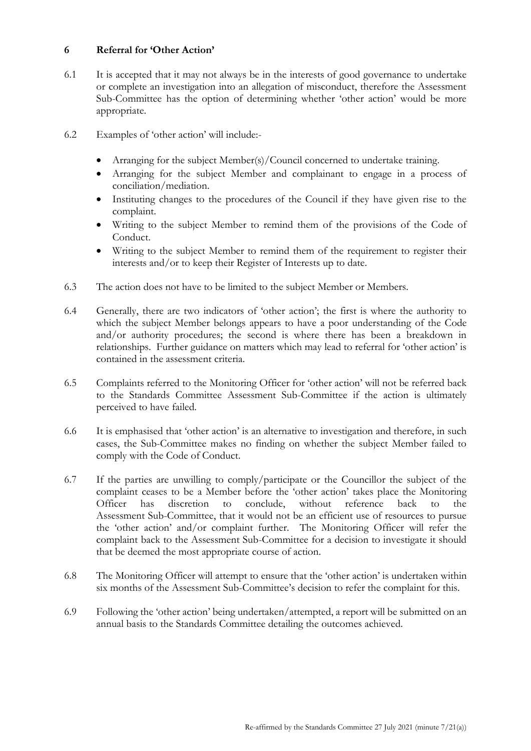## **6 Referral for 'Other Action'**

- 6.1 It is accepted that it may not always be in the interests of good governance to undertake or complete an investigation into an allegation of misconduct, therefore the Assessment Sub-Committee has the option of determining whether 'other action' would be more appropriate.
- 6.2 Examples of 'other action' will include:-
	- Arranging for the subject Member(s)/Council concerned to undertake training.
	- Arranging for the subject Member and complainant to engage in a process of conciliation/mediation.
	- Instituting changes to the procedures of the Council if they have given rise to the complaint.
	- Writing to the subject Member to remind them of the provisions of the Code of Conduct.
	- Writing to the subject Member to remind them of the requirement to register their interests and/or to keep their Register of Interests up to date.
- 6.3 The action does not have to be limited to the subject Member or Members.
- 6.4 Generally, there are two indicators of 'other action'; the first is where the authority to which the subject Member belongs appears to have a poor understanding of the Code and/or authority procedures; the second is where there has been a breakdown in relationships. Further guidance on matters which may lead to referral for 'other action' is contained in the assessment criteria.
- 6.5 Complaints referred to the Monitoring Officer for 'other action' will not be referred back to the Standards Committee Assessment Sub-Committee if the action is ultimately perceived to have failed.
- 6.6 It is emphasised that 'other action' is an alternative to investigation and therefore, in such cases, the Sub-Committee makes no finding on whether the subject Member failed to comply with the Code of Conduct.
- 6.7 If the parties are unwilling to comply/participate or the Councillor the subject of the complaint ceases to be a Member before the 'other action' takes place the Monitoring Officer has discretion to conclude, without reference back to the Assessment Sub-Committee, that it would not be an efficient use of resources to pursue the 'other action' and/or complaint further. The Monitoring Officer will refer the complaint back to the Assessment Sub-Committee for a decision to investigate it should that be deemed the most appropriate course of action.
- 6.8 The Monitoring Officer will attempt to ensure that the 'other action' is undertaken within six months of the Assessment Sub-Committee's decision to refer the complaint for this.
- 6.9 Following the 'other action' being undertaken/attempted, a report will be submitted on an annual basis to the Standards Committee detailing the outcomes achieved.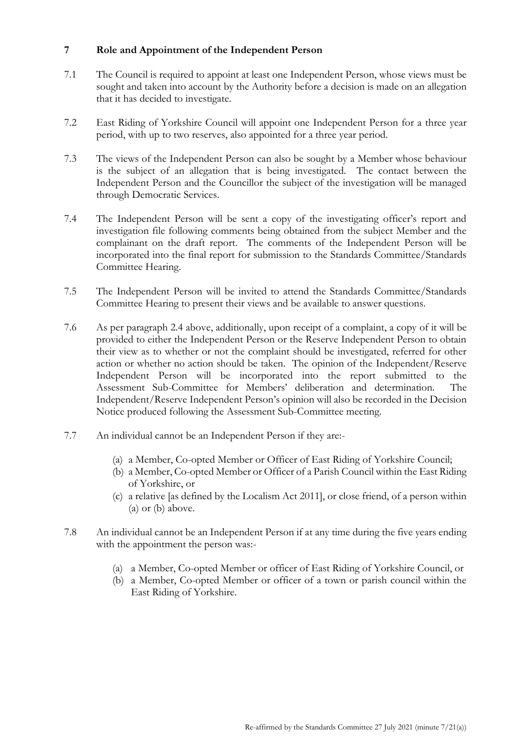## **7 Role and Appointment of the Independent Person**

- 7.1 The Council is required to appoint at least one Independent Person, whose views must be sought and taken into account by the Authority before a decision is made on an allegation that it has decided to investigate.
- 7.2 East Riding of Yorkshire Council will appoint one Independent Person for a three year period, with up to two reserves, also appointed for a three year period.
- 7.3 The views of the Independent Person can also be sought by a Member whose behaviour is the subject of an allegation that is being investigated. The contact between the Independent Person and the Councillor the subject of the investigation will be managed through Democratic Services.
- 7.4 The Independent Person will be sent a copy of the investigating officer's report and investigation file following comments being obtained from the subject Member and the complainant on the draft report. The comments of the Independent Person will be incorporated into the final report for submission to the Standards Committee/Standards Committee Hearing.
- 7.5 The Independent Person will be invited to attend the Standards Committee/Standards Committee Hearing to present their views and be available to answer questions.
- 7.6 As per paragraph 2.4 above, additionally, upon receipt of a complaint, a copy of it will be provided to either the Independent Person or the Reserve Independent Person to obtain their view as to whether or not the complaint should be investigated, referred for other action or whether no action should be taken. The opinion of the Independent/Reserve Independent Person will be incorporated into the report submitted to the Assessment Sub-Committee for Members' deliberation and determination. The Independent/Reserve Independent Person's opinion will also be recorded in the Decision Notice produced following the Assessment Sub-Committee meeting.
- 7.7 An individual cannot be an Independent Person if they are:-
	- (a) a Member, Co-opted Member or Officer of East Riding of Yorkshire Council;
	- (b) a Member, Co-opted Member or Officer of a Parish Council within the East Riding of Yorkshire, or
	- (c) a relative [as defined by the Localism Act 2011], or close friend, of a person within (a) or (b) above.
- 7.8 An individual cannot be an Independent Person if at any time during the five years ending with the appointment the person was:-
	- (a) a Member, Co-opted Member or officer of East Riding of Yorkshire Council, or
	- (b) a Member, Co-opted Member or officer of a town or parish council within the East Riding of Yorkshire.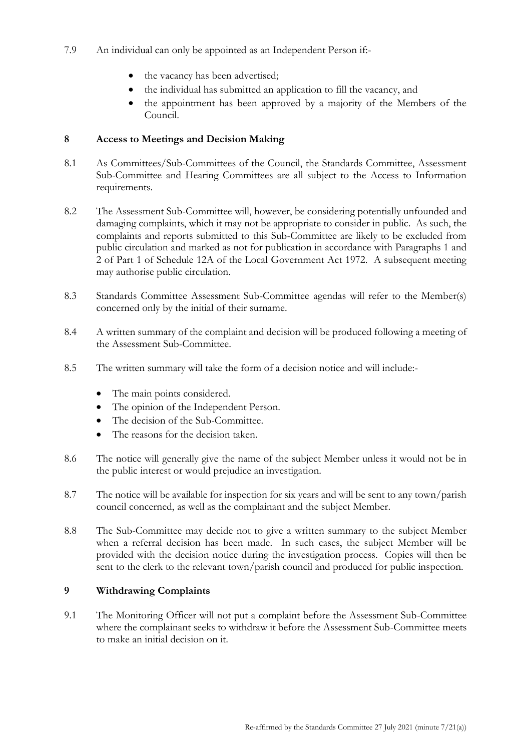- 7.9 An individual can only be appointed as an Independent Person if:
	- the vacancy has been advertised;
	- the individual has submitted an application to fill the vacancy, and
	- the appointment has been approved by a majority of the Members of the Council.

## **8 Access to Meetings and Decision Making**

- 8.1 As Committees/Sub-Committees of the Council, the Standards Committee, Assessment Sub-Committee and Hearing Committees are all subject to the Access to Information requirements.
- 8.2 The Assessment Sub-Committee will, however, be considering potentially unfounded and damaging complaints, which it may not be appropriate to consider in public. As such, the complaints and reports submitted to this Sub-Committee are likely to be excluded from public circulation and marked as not for publication in accordance with Paragraphs 1 and 2 of Part 1 of Schedule 12A of the Local Government Act 1972. A subsequent meeting may authorise public circulation.
- 8.3 Standards Committee Assessment Sub-Committee agendas will refer to the Member(s) concerned only by the initial of their surname.
- 8.4 A written summary of the complaint and decision will be produced following a meeting of the Assessment Sub-Committee.
- 8.5 The written summary will take the form of a decision notice and will include:-
	- The main points considered.
	- The opinion of the Independent Person.
	- The decision of the Sub-Committee.
	- The reasons for the decision taken.
- 8.6 The notice will generally give the name of the subject Member unless it would not be in the public interest or would prejudice an investigation.
- 8.7 The notice will be available for inspection for six years and will be sent to any town/parish council concerned, as well as the complainant and the subject Member.
- 8.8 The Sub-Committee may decide not to give a written summary to the subject Member when a referral decision has been made. In such cases, the subject Member will be provided with the decision notice during the investigation process. Copies will then be sent to the clerk to the relevant town/parish council and produced for public inspection.

## **9 Withdrawing Complaints**

9.1 The Monitoring Officer will not put a complaint before the Assessment Sub-Committee where the complainant seeks to withdraw it before the Assessment Sub-Committee meets to make an initial decision on it.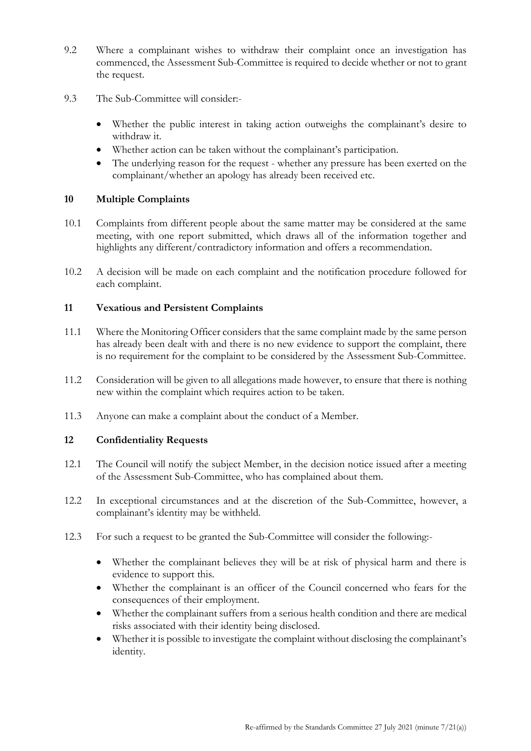- 9.2 Where a complainant wishes to withdraw their complaint once an investigation has commenced, the Assessment Sub-Committee is required to decide whether or not to grant the request.
- 9.3 The Sub-Committee will consider:-
	- Whether the public interest in taking action outweighs the complainant's desire to withdraw it.
	- Whether action can be taken without the complainant's participation.
	- The underlying reason for the request whether any pressure has been exerted on the complainant/whether an apology has already been received etc.

#### **10 Multiple Complaints**

- 10.1 Complaints from different people about the same matter may be considered at the same meeting, with one report submitted, which draws all of the information together and highlights any different/contradictory information and offers a recommendation.
- 10.2 A decision will be made on each complaint and the notification procedure followed for each complaint.

#### **11 Vexatious and Persistent Complaints**

- 11.1 Where the Monitoring Officer considers that the same complaint made by the same person has already been dealt with and there is no new evidence to support the complaint, there is no requirement for the complaint to be considered by the Assessment Sub-Committee.
- 11.2 Consideration will be given to all allegations made however, to ensure that there is nothing new within the complaint which requires action to be taken.
- 11.3 Anyone can make a complaint about the conduct of a Member.

#### **12 Confidentiality Requests**

- 12.1 The Council will notify the subject Member, in the decision notice issued after a meeting of the Assessment Sub-Committee, who has complained about them.
- 12.2 In exceptional circumstances and at the discretion of the Sub-Committee, however, a complainant's identity may be withheld.
- 12.3 For such a request to be granted the Sub-Committee will consider the following:-
	- Whether the complainant believes they will be at risk of physical harm and there is evidence to support this.
	- Whether the complainant is an officer of the Council concerned who fears for the consequences of their employment.
	- Whether the complainant suffers from a serious health condition and there are medical risks associated with their identity being disclosed.
	- Whether it is possible to investigate the complaint without disclosing the complainant's identity.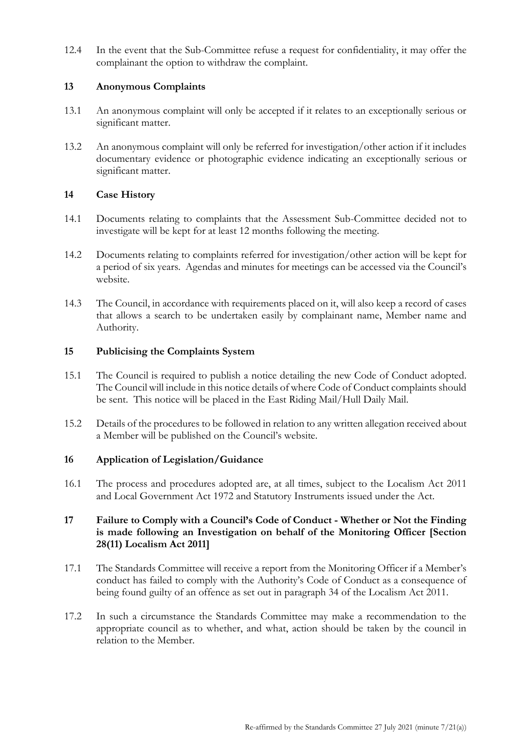12.4 In the event that the Sub-Committee refuse a request for confidentiality, it may offer the complainant the option to withdraw the complaint.

#### **13 Anonymous Complaints**

- 13.1 An anonymous complaint will only be accepted if it relates to an exceptionally serious or significant matter.
- 13.2 An anonymous complaint will only be referred for investigation/other action if it includes documentary evidence or photographic evidence indicating an exceptionally serious or significant matter.

## **14 Case History**

- 14.1 Documents relating to complaints that the Assessment Sub-Committee decided not to investigate will be kept for at least 12 months following the meeting.
- 14.2 Documents relating to complaints referred for investigation/other action will be kept for a period of six years. Agendas and minutes for meetings can be accessed via the Council's website.
- 14.3 The Council, in accordance with requirements placed on it, will also keep a record of cases that allows a search to be undertaken easily by complainant name, Member name and Authority.

## **15 Publicising the Complaints System**

- 15.1 The Council is required to publish a notice detailing the new Code of Conduct adopted. The Council will include in this notice details of where Code of Conduct complaints should be sent. This notice will be placed in the East Riding Mail/Hull Daily Mail.
- 15.2 Details of the procedures to be followed in relation to any written allegation received about a Member will be published on the Council's website.

# **16 Application of Legislation/Guidance**

16.1 The process and procedures adopted are, at all times, subject to the Localism Act 2011 and Local Government Act 1972 and Statutory Instruments issued under the Act.

## **17 Failure to Comply with a Council's Code of Conduct - Whether or Not the Finding is made following an Investigation on behalf of the Monitoring Officer [Section 28(11) Localism Act 2011]**

- 17.1 The Standards Committee will receive a report from the Monitoring Officer if a Member's conduct has failed to comply with the Authority's Code of Conduct as a consequence of being found guilty of an offence as set out in paragraph 34 of the Localism Act 2011.
- 17.2 In such a circumstance the Standards Committee may make a recommendation to the appropriate council as to whether, and what, action should be taken by the council in relation to the Member.